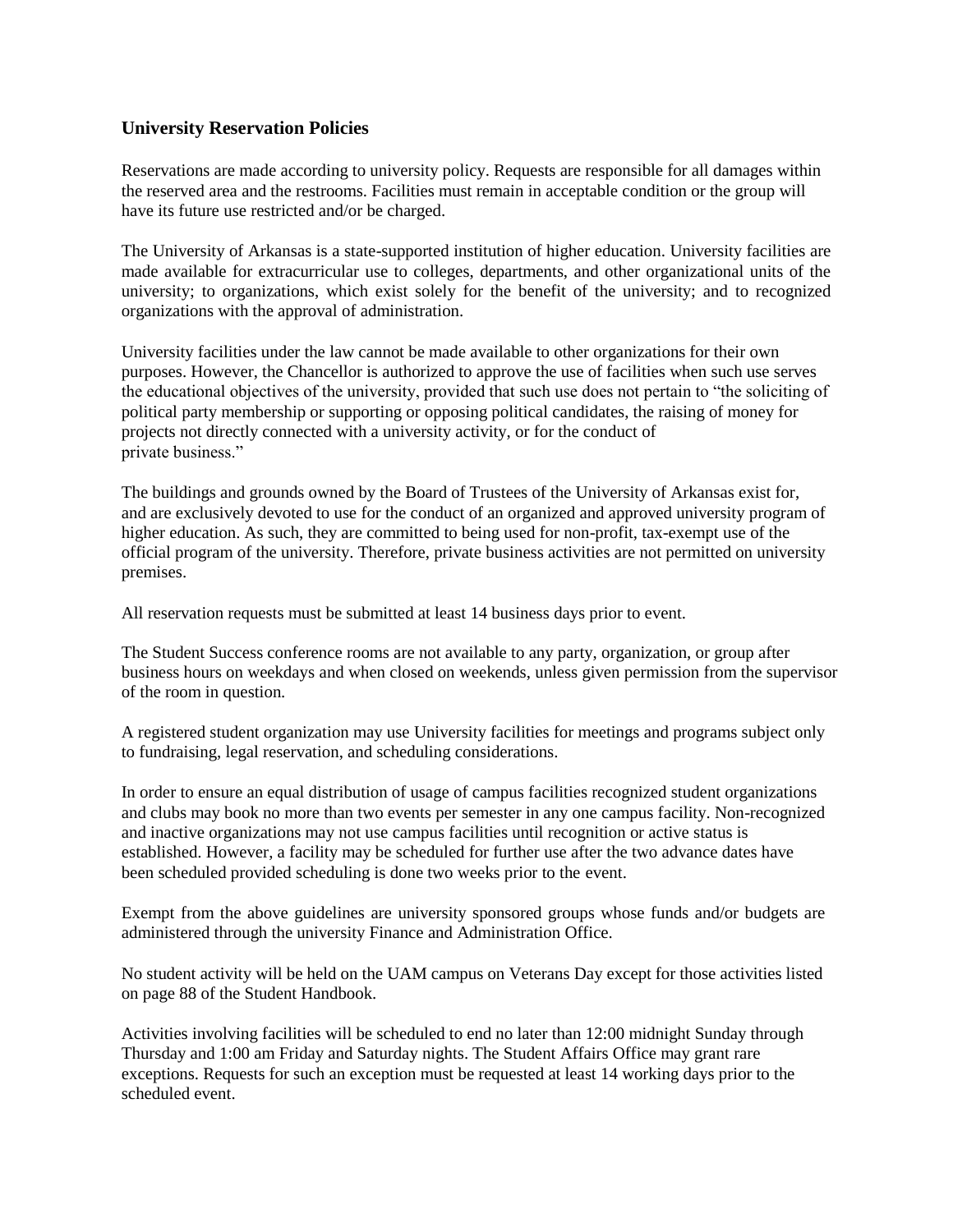## **University Reservation Policies**

Reservations are made according to university policy. Requests are responsible for all damages within the reserved area and the restrooms. Facilities must remain in acceptable condition or the group will have its future use restricted and/or be charged.

The University of Arkansas is a state-supported institution of higher education. University facilities are made available for extracurricular use to colleges, departments, and other organizational units of the university; to organizations, which exist solely for the benefit of the university; and to recognized organizations with the approval of administration.

University facilities under the law cannot be made available to other organizations for their own purposes. However, the Chancellor is authorized to approve the use of facilities when such use serves the educational objectives of the university, provided that such use does not pertain to "the soliciting of political party membership or supporting or opposing political candidates, the raising of money for projects not directly connected with a university activity, or for the conduct of private business."

The buildings and grounds owned by the Board of Trustees of the University of Arkansas exist for, and are exclusively devoted to use for the conduct of an organized and approved university program of higher education. As such, they are committed to being used for non-profit, tax-exempt use of the official program of the university. Therefore, private business activities are not permitted on university premises.

All reservation requests must be submitted at least 14 business days prior to event.

The Student Success conference rooms are not available to any party, organization, or group after business hours on weekdays and when closed on weekends, unless given permission from the supervisor of the room in question.

A registered student organization may use University facilities for meetings and programs subject only to fundraising, legal reservation, and scheduling considerations.

In order to ensure an equal distribution of usage of campus facilities recognized student organizations and clubs may book no more than two events per semester in any one campus facility. Non-recognized and inactive organizations may not use campus facilities until recognition or active status is established. However, a facility may be scheduled for further use after the two advance dates have been scheduled provided scheduling is done two weeks prior to the event.

Exempt from the above guidelines are university sponsored groups whose funds and/or budgets are administered through the university Finance and Administration Office.

No student activity will be held on the UAM campus on Veterans Day except for those activities listed on page 88 of the Student Handbook.

Activities involving facilities will be scheduled to end no later than 12:00 midnight Sunday through Thursday and 1:00 am Friday and Saturday nights. The Student Affairs Office may grant rare exceptions. Requests for such an exception must be requested at least 14 working days prior to the scheduled event.